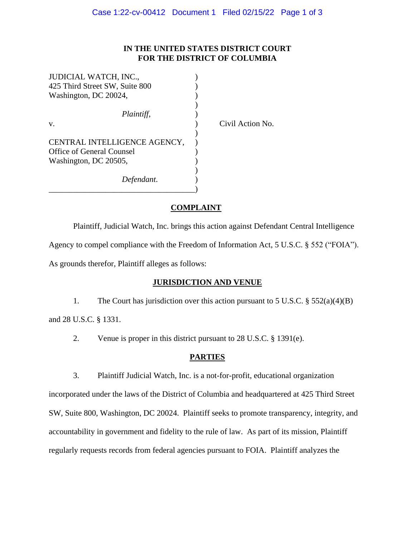### **IN THE UNITED STATES DISTRICT COURT FOR THE DISTRICT OF COLUMBIA**

| JUDICIAL WATCH, INC.,          |  |
|--------------------------------|--|
| 425 Third Street SW, Suite 800 |  |
| Washington, DC 20024,          |  |
|                                |  |
| Plaintiff,                     |  |
| v.                             |  |
|                                |  |
| CENTRAL INTELLIGENCE AGENCY,   |  |
| Office of General Counsel      |  |
| Washington, DC 20505,          |  |
|                                |  |
| Defendant.                     |  |
|                                |  |

Civil Action No.

### **COMPLAINT**

Plaintiff, Judicial Watch, Inc. brings this action against Defendant Central Intelligence Agency to compel compliance with the Freedom of Information Act, 5 U.S.C. § 552 ("FOIA"). As grounds therefor, Plaintiff alleges as follows:

#### **JURISDICTION AND VENUE**

1. The Court has jurisdiction over this action pursuant to 5 U.S.C. § 552(a)(4)(B)

and 28 U.S.C. § 1331.

2. Venue is proper in this district pursuant to 28 U.S.C. § 1391(e).

## **PARTIES**

3. Plaintiff Judicial Watch, Inc. is a not-for-profit, educational organization incorporated under the laws of the District of Columbia and headquartered at 425 Third Street SW, Suite 800, Washington, DC 20024. Plaintiff seeks to promote transparency, integrity, and accountability in government and fidelity to the rule of law. As part of its mission, Plaintiff regularly requests records from federal agencies pursuant to FOIA. Plaintiff analyzes the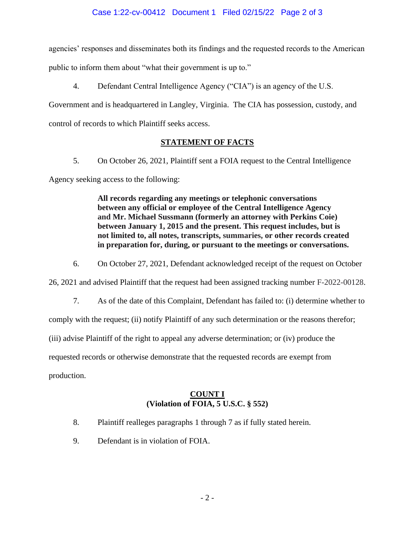agencies' responses and disseminates both its findings and the requested records to the American public to inform them about "what their government is up to."

4. Defendant Central Intelligence Agency ("CIA") is an agency of the U.S.

Government and is headquartered in Langley, Virginia. The CIA has possession, custody, and control of records to which Plaintiff seeks access.

# **STATEMENT OF FACTS**

5. On October 26, 2021, Plaintiff sent a FOIA request to the Central Intelligence

Agency seeking access to the following:

**All records regarding any meetings or telephonic conversations between any official or employee of the Central Intelligence Agency and Mr. Michael Sussmann (formerly an attorney with Perkins Coie) between January 1, 2015 and the present. This request includes, but is not limited to, all notes, transcripts, summaries, or other records created in preparation for, during, or pursuant to the meetings or conversations.**

6. On October 27, 2021, Defendant acknowledged receipt of the request on October

26, 2021 and advised Plaintiff that the request had been assigned tracking number F-2022-00128.

7. As of the date of this Complaint, Defendant has failed to: (i) determine whether to

comply with the request; (ii) notify Plaintiff of any such determination or the reasons therefor;

(iii) advise Plaintiff of the right to appeal any adverse determination; or (iv) produce the

requested records or otherwise demonstrate that the requested records are exempt from

production.

# **COUNT I (Violation of FOIA, 5 U.S.C. § 552)**

- 8. Plaintiff realleges paragraphs 1 through 7 as if fully stated herein.
- 9. Defendant is in violation of FOIA.